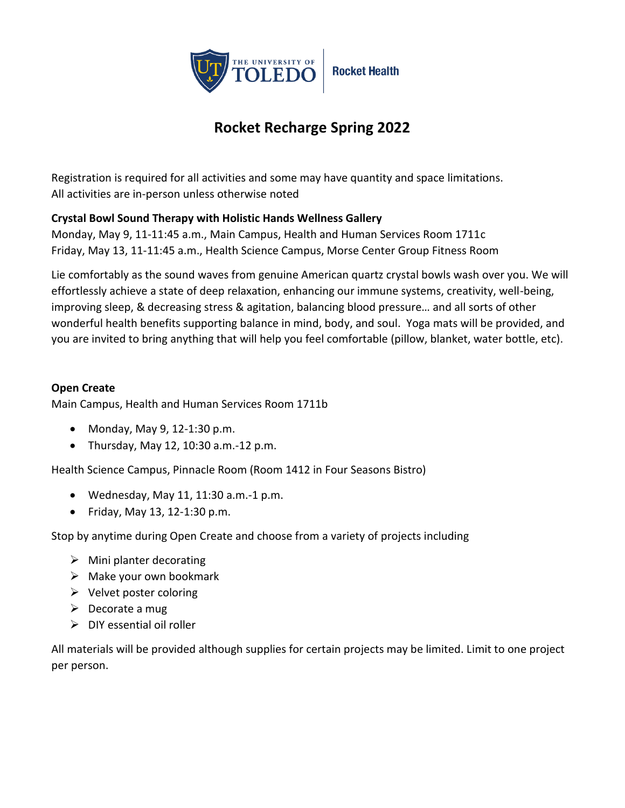

# **Rocket Recharge Spring 2022**

Registration is required for all activities and some may have quantity and space limitations. All activities are in-person unless otherwise noted

# **Crystal Bowl Sound Therapy with Holistic Hands Wellness Gallery**

Monday, May 9, 11-11:45 a.m., Main Campus, Health and Human Services Room 1711c Friday, May 13, 11-11:45 a.m., Health Science Campus, Morse Center Group Fitness Room

Lie comfortably as the sound waves from genuine American quartz crystal bowls wash over you. We will effortlessly achieve a state of deep relaxation, enhancing our immune systems, creativity, well-being, improving sleep, & decreasing stress & agitation, balancing blood pressure… and all sorts of other wonderful health benefits supporting balance in mind, body, and soul. Yoga mats will be provided, and you are invited to bring anything that will help you feel comfortable (pillow, blanket, water bottle, etc).

## **Open Create**

Main Campus, Health and Human Services Room 1711b

- Monday, May 9, 12-1:30 p.m.
- Thursday, May 12, 10:30 a.m.-12 p.m.

Health Science Campus, Pinnacle Room (Room 1412 in Four Seasons Bistro)

- $\bullet$  Wednesday, May 11, 11:30 a.m.-1 p.m.
- Friday, May 13, 12-1:30 p.m.

Stop by anytime during Open Create and choose from a variety of projects including

- $\triangleright$  Mini planter decorating
- $\triangleright$  Make your own bookmark
- $\triangleright$  Velvet poster coloring
- $\triangleright$  Decorate a mug
- $\triangleright$  DIY essential oil roller

All materials will be provided although supplies for certain projects may be limited. Limit to one project per person.